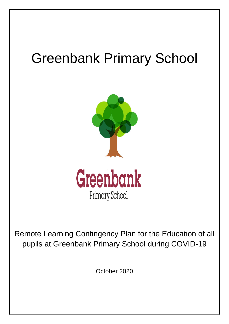# Greenbank Primary School



Remote Learning Contingency Plan for the Education of all pupils at Greenbank Primary School during COVID-19

October 2020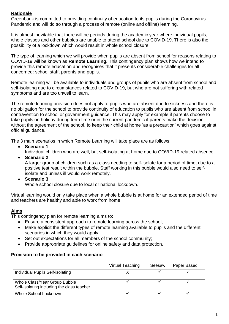# **Rationale**

Greenbank is committed to providing continuity of education to its pupils during the Coronavirus Pandemic and will do so through a process of remote (online and offline) learning.

It is almost inevitable that there will be periods during the academic year where individual pupils, whole classes and other bubbles are unable to attend school due to COVID-19. There is also the possibility of a lockdown which would result in whole school closure.

The type of learning which we will provide when pupils are absent from school for reasons relating to COVID-19 will be known as **Remote Learning.** This contingency plan shows how we intend to provide this remote education and recognises that it presents considerable challenges for all concerned: school staff, parents and pupils.

Remote learning will be available to individuals and groups of pupils who are absent from school and self-isolating due to circumstances related to COVID-19, but who are not suffering with related symptoms and are too unwell to learn.

The remote learning provision does not apply to pupils who are absent due to sickness and there is no obligation for the school to provide continuity of education to pupils who are absent from school in contravention to school or government guidance. This may apply for example if parents choose to take pupils on holiday during term time or in the current pandemic if parents make the decision, without the agreement of the school, to keep their child at home 'as a precaution' which goes against official guidance.

The 3 main scenarios in which Remote Learning will take place are as follows:

**Scenario 1**

Individual children who are well, but self-isolating at home due to COVID-19 related absence.

- **Scenario 2** A larger group of children such as a class needing to self-isolate for a period of time, due to a positive test result within the bubble. Staff working in this bubble would also need to selfisolate and unless ill would work remotely.
- **Scenario 3**

Whole school closure due to local or national lockdown.

Virtual learning would only take place when a whole bubble is at home for an extended period of time and teachers are healthy and able to work from home.

## **Aims**

This contingency plan for remote learning aims to:

- Ensure a consistent approach to remote learning across the school;
- Make explicit the different types of remote learning available to pupils and the different scenarios in which they would apply;
- Set out expectations for all members of the school community;
- Provide appropriate quidelines for online safety and data protection.

## **Provision to be provided in each scenario**

|                                                                             | Virtual Teaching | Seesaw | Paper Based |
|-----------------------------------------------------------------------------|------------------|--------|-------------|
| Individual Pupils Self-isolating                                            |                  |        |             |
| Whole Class/Year Group Bubble<br>Self-isolating including the class teacher |                  |        |             |
| Whole School Lockdown                                                       |                  |        |             |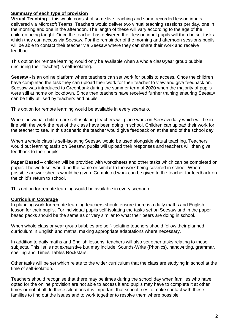## **Summary of each type of provision**

**Virtual Teaching** – this would consist of some live teaching and some recorded lesson inputs delivered via Microsoft Teams. Teachers would deliver two virtual teaching sessions per day, one in the morning and one in the afternoon. The length of these will vary according to the age of the children being taught. Once the teacher has delivered their lesson input pupils will then be set tasks which they can access via Seesaw. For the remainder of the morning and afternoon sessions pupils will be able to contact their teacher via Seesaw where they can share their work and receive feedback.

This option for remote learning would only be available when a whole class/year group bubble (including their teacher) is self-isolating.

**Seesaw -** is an online platform where teachers can set work for pupils to access. Once the children have completed the task they can upload their work for their teacher to view and give feedback on. Seesaw was introduced to Greenbank during the summer term of 2020 when the majority of pupils were still at home on lockdown. Since then teachers have received further training ensuring Seesaw can be fully utilised by teachers and pupils.

This option for remote learning would be available in every scenario.

When individual children are self-isolating teachers will place work on Seesaw daily which will be inline with the work the rest of the class have been doing in school. Children can upload their work for the teacher to see. In this scenario the teacher would give feedback on at the end of the school day.

When a whole class is self-isolating Seesaw would be used alongside virtual teaching. Teachers would put learning tasks on Seesaw, pupils will upload their responses and teachers will then give feedback to their pupils.

**Paper Based –** children will be provided with worksheets and other tasks which can be completed on paper. The work set would be the same or similar to the work being covered in school. Where possible answer sheets would be given. Completed work can be given to the teacher for feedback on the child's return to school.

This option for remote learning would be available in every scenario.

#### **Curriculum Coverage**

In planning work for remote learning teachers should ensure there is a daily maths and English lesson for their pupils. For individual pupils self-isolating the tasks set on Seesaw and in the paper based packs should be the same as or very similar to what their peers are doing in school.

When whole class or year group bubbles are self-isolating teachers should follow their planned curriculum in English and maths, making appropriate adaptations where necessary.

In addition to daily maths and English lessons, teachers will also set other tasks relating to these subjects. This list is not exhaustive but may include: Sounds-Write (Phonics), handwriting, grammar, spelling and Times Tables Rockstars.

Other tasks will be set which relate to the wider curriculum that the class are studying in school at the time of self-isolation.

Teachers should recognise that there may be times during the school day when families who have opted for the online provision are not able to access it and pupils may have to complete it at other times or not at all. In these situations it is important that school tries to make contact with these families to find out the issues and to work together to resolve them where possible.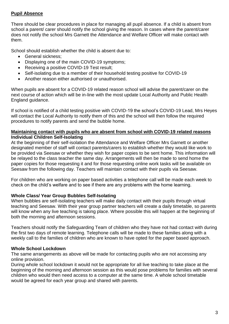## **Pupil Absence**

There should be clear procedures in place for managing all pupil absence. If a child is absent from school a parent/ carer should notify the school giving the reason. In cases where the parent/carer does not notify the school Mrs Garnett the Attendance and Welfare Officer will make contact with them.

School should establish whether the child is absent due to:

- General sickness;
- Displaying one of the main COVID-19 symptoms;
- Receiving a positive COVID-19 Test result;
- Self-isolating due to a member of their household testing positive for COVID-19
- Another reason either authorised or unauthorised.

When pupils are absent for a COVID-19 related reason school will advise the parent/carer on the next course of action which will be in-line with the most update Local Authority and Public Health England guidance.

If school is notified of a child testing positive with COVID-19 the school's COVID-19 Lead, Mrs Heyes will contact the Local Authority to notify them of this and the school will then follow the required procedures to notify parents and send the bubble home.

#### **Maintaining contact with pupils who are absent from school with COVID-19 related reasons Individual Children Self-Isolating**

At the beginning of their self-isolation the Attendance and Welfare Officer Mrs Garnett or another designated member of staff will contact parents/carers to establish whether they would like work to be provided via Seesaw or whether they wish for paper copies to be sent home. This information will be relayed to the class teacher the same day. Arrangements will then be made to send home the paper copies for those requesting it and for those requesting online work tasks will be available on Seesaw from the following day. Teachers will maintain contact with their pupils via Seesaw.

For children who are working on paper based activities a telephone call will be made each week to check on the child's welfare and to see if there are any problems with the home learning.

## **Whole Class/ Year Group Bubbles Self-Isolating**

When bubbles are self-isolating teachers will make daily contact with their pupils through virtual teaching and Seesaw. With their year group partner teachers will create a daily timetable, so parents will know when any live teaching is taking place. Where possible this will happen at the beginning of both the morning and afternoon sessions.

Teachers should notify the Safeguarding Team of children who they have not had contact with during the first two days of remote learning. Telephone calls will be made to these families along with a weekly call to the families of children who are known to have opted for the paper based approach.

## **Whole School Lockdown**

The same arrangements as above will be made for contacting pupils who are not accessing any online provision.

During whole school lockdown it would not be appropriate for all live teaching to take place at the beginning of the morning and afternoon session as this would pose problems for families with several children who would then need access to a computer at the same time. A whole school timetable would be agreed for each year group and shared with parents.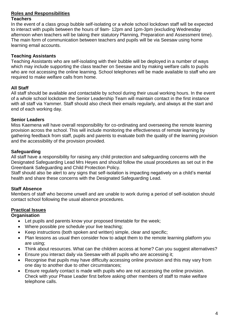# **Roles and Responsibilities**

#### **Teachers**

In the event of a class group bubble self-isolating or a whole school lockdown staff will be expected to interact with pupils between the hours of 9am- 12pm and 1pm-3pm (excluding Wednesday afternoon when teachers will be taking their statutory Planning, Preparation and Assessment time). The main form of communication between teachers and pupils will be via Seesaw using home learning email accounts.

## **Teaching Assistants**

Teaching Assistants who are self-isolating with their bubble will be deployed in a number of ways which may include supporting the class teacher on Seesaw and by making welfare calls to pupils who are not accessing the online learning. School telephones will be made available to staff who are required to make welfare calls from home.

## **All Staff**

All staff should be available and contactable by school during their usual working hours. In the event of a whole school lockdown the Senior Leadership Team will maintain contact in the first instance with all staff via Yammer. Staff should also check their emails regularly, and always at the start and end of each working day.

## **Senior Leaders**

Miss Kaemena will have overall responsibility for co-ordinating and overseeing the remote learning provision across the school. This will include monitoring the effectiveness of remote learning by gathering feedback from staff, pupils and parents to evaluate both the quality of the learning provision and the accessibility of the provision provided.

## **Safeguarding**

All staff have a responsibility for raising any child protection and safeguarding concerns with the Designated Safeguarding Lead Mrs Heyes and should follow the usual procedures as set out in the Greenbank Safeguarding and Child Protection Policy.

Staff should also be alert to any signs that self-isolation is impacting negatively on a child's mental health and share these concerns with the Designated Safeguarding Lead.

# **Staff Absence**

Members of staff who become unwell and are unable to work during a period of self-isolation should contact school following the usual absence procedures.

# **Practical Issues**

# **Organisation**

- Let pupils and parents know your proposed timetable for the week;
- Where possible pre schedule your live teaching;
- Keep instructions (both spoken and written) simple, clear and specific;
- Plan lessons as usual then consider how to adapt them to the remote learning platform you are using;
- Think about resources. What can the children access at home? Can you suggest alternatives?
- Ensure you interact daily via Seesaw with all pupils who are accessing it;
- Recognise that pupils may have difficulty accessing online provision and this may vary from one day to another due to other circumstances;
- Ensure regularly contact is made with pupils who are not accessing the online provision. Check with your Phase Leader first before asking other members of staff to make welfare telephone calls.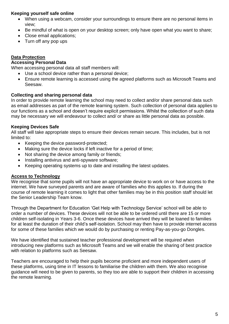## **Keeping yourself safe online**

- When using a webcam, consider your surroundings to ensure there are no personal items in view;
- Be mindful of what is open on your desktop screen; only have open what you want to share;
- Close email applications;
- Turn off any pop ups

## **Data Protection**

#### **Accessing Personal Data**

When accessing personal data all staff members will:

- Use a school device rather than a personal device;
- Ensure remote learning is accessed using the agreed platforms such as Microsoft Teams and Seesaw.

#### **Collecting and sharing personal data**

In order to provide remote learning the school may need to collect and/or share personal data such as email addresses as part of the remote learning system. Such collection of personal data applies to our functions as a school and doesn't require explicit permissions. Whilst the collection of such data may be necessary we will endeavour to collect and/ or share as little personal data as possible.

#### **Keeping Devices Safe**

All staff will take appropriate steps to ensure their devices remain secure. This includes, but is not limited to:

- Keeping the device password-protected;
- Making sure the device locks if left inactive for a period of time;
- Not sharing the device among family or friends;
- Installing antivirus and anti-spyware software;
- Keeping operating systems up to date and installing the latest updates.

## **Access to Technology**

We recognise that some pupils will not have an appropriate device to work on or have access to the internet. We have surveyed parents and are aware of families who this applies to. If during the course of remote learning it comes to light that other families may be in this position staff should let the Senior Leadership Team know.

Through the Department for Education 'Get Help with Technology Service' school will be able to order a number of devices. These devices will not be able to be ordered until there are 15 or more children self-isolating in Years 3-6. Once these devices have arrived they will be loaned to families for at least the duration of their child's self-isolation. School may then have to provide internet access for some of these families which we would do by purchasing or renting Pay-as-you-go Dongles.

We have identified that sustained teacher professional development will be required when introducing new platforms such as Microsoft Teams and we will enable the sharing of best practice with relation to platforms such as Seesaw.

Teachers are encouraged to help their pupils become proficient and more independent users of these platforms, using time in IT lessons to familiarise the children with them. We also recognise guidance will need to be given to parents, so they too are able to support their children in accessing the remote learning.